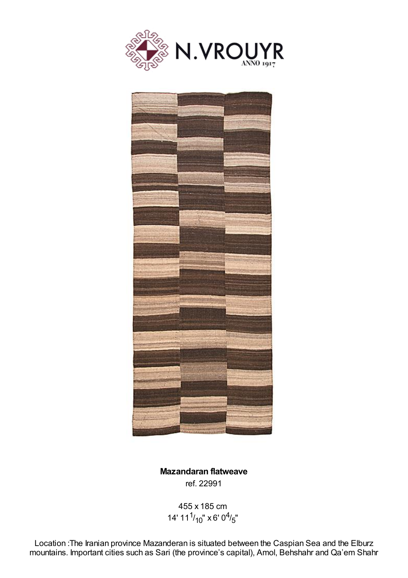



**Mazandaran flatweave** ref. 22991

455 x 185 cm 14' 11 $\frac{1}{10}$ " x 6' 0 $\frac{4}{5}$ "

Location :The Iranian province Mazanderan is situated between the Caspian Sea and the Elburz mountains. Important cities such as Sari (the province's capital), Amol, Behshahr and Qa'em Shahr